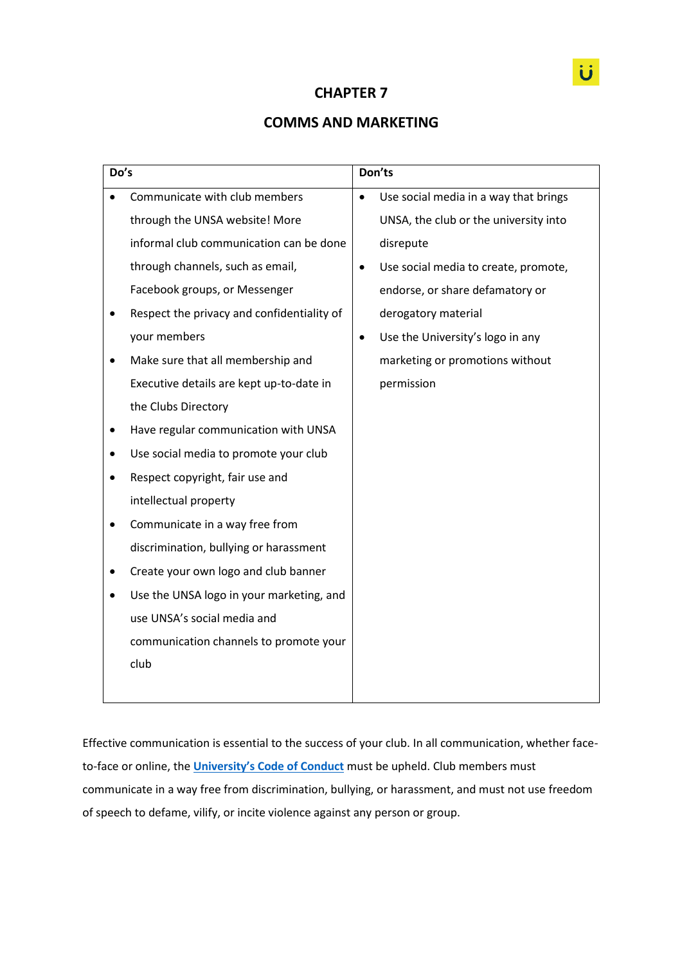# **CHAPTER 7**

# **COMMS AND MARKETING**

| Do's |                                            | Don'ts    |                                       |
|------|--------------------------------------------|-----------|---------------------------------------|
|      | Communicate with club members              | $\bullet$ | Use social media in a way that brings |
|      | through the UNSA website! More             |           | UNSA, the club or the university into |
|      | informal club communication can be done    |           | disrepute                             |
|      | through channels, such as email,           | $\bullet$ | Use social media to create, promote,  |
|      | Facebook groups, or Messenger              |           | endorse, or share defamatory or       |
|      | Respect the privacy and confidentiality of |           | derogatory material                   |
|      | your members                               | $\bullet$ | Use the University's logo in any      |
|      | Make sure that all membership and          |           | marketing or promotions without       |
|      | Executive details are kept up-to-date in   |           | permission                            |
|      | the Clubs Directory                        |           |                                       |
| ٠    | Have regular communication with UNSA       |           |                                       |
|      | Use social media to promote your club      |           |                                       |
|      | Respect copyright, fair use and            |           |                                       |
|      | intellectual property                      |           |                                       |
|      | Communicate in a way free from             |           |                                       |
|      | discrimination, bullying or harassment     |           |                                       |
|      | Create your own logo and club banner       |           |                                       |
|      | Use the UNSA logo in your marketing, and   |           |                                       |
|      | use UNSA's social media and                |           |                                       |
|      | communication channels to promote your     |           |                                       |
|      | club                                       |           |                                       |
|      |                                            |           |                                       |

Effective communication is essential to the success of your club. In all communication, whether faceto-face or online, the **[University's Code of Conduct](https://policies.newcastle.edu.au/document/view-current.php?id=204)** must be upheld. Club members must communicate in a way free from discrimination, bullying, or harassment, and must not use freedom of speech to defame, vilify, or incite violence against any person or group.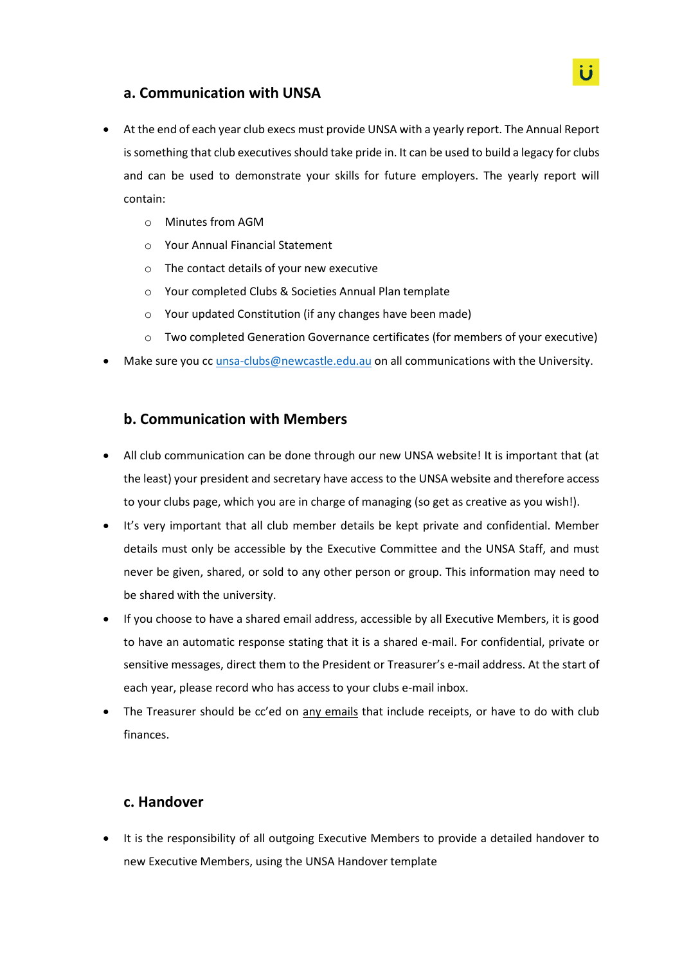# **a. Communication with UNSA**

- At the end of each year club execs must provide UNSA with a yearly report. The Annual Report is something that club executives should take pride in. It can be used to build a legacy for clubs and can be used to demonstrate your skills for future employers. The yearly report will contain:
	- o Minutes from AGM
	- o Your Annual Financial Statement
	- o The contact details of your new executive
	- o Your completed Clubs & Societies Annual Plan template
	- o Your updated Constitution (if any changes have been made)
	- o Two completed Generation Governance certificates (for members of your executive)
- Make sure you cc [unsa-clubs@newcastle.edu.au](mailto:unsa-clubs@newcastle.edu.au) on all communications with the University.

#### **b. Communication with Members**

- All club communication can be done through our new UNSA website! It is important that (at the least) your president and secretary have access to the UNSA website and therefore access to your clubs page, which you are in charge of managing (so get as creative as you wish!).
- It's very important that all club member details be kept private and confidential. Member details must only be accessible by the Executive Committee and the UNSA Staff, and must never be given, shared, or sold to any other person or group. This information may need to be shared with the university.
- If you choose to have a shared email address, accessible by all Executive Members, it is good to have an automatic response stating that it is a shared e-mail. For confidential, private or sensitive messages, direct them to the President or Treasurer's e-mail address. At the start of each year, please record who has access to your clubs e-mail inbox.
- The Treasurer should be cc'ed on any emails that include receipts, or have to do with club finances.

#### **c. Handover**

 It is the responsibility of all outgoing Executive Members to provide a detailed handover to new Executive Members, using the UNSA Handover template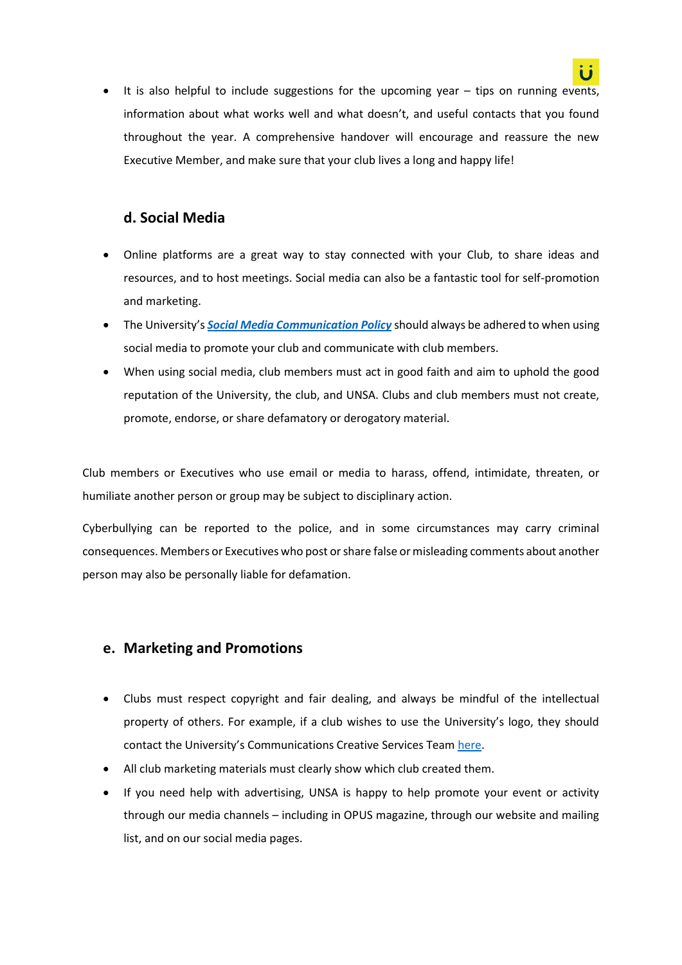

• It is also helpful to include suggestions for the upcoming year – tips on running events, information about what works well and what doesn't, and useful contacts that you found throughout the year. A comprehensive handover will encourage and reassure the new Executive Member, and make sure that your club lives a long and happy life!

# **d. Social Media**

- Online platforms are a great way to stay connected with your Club, to share ideas and resources, and to host meetings. Social media can also be a fantastic tool for self-promotion and marketing.
- The University's *[Social Media Communication Policy](https://policies.newcastle.edu.au/document/view-current.php?id=42#:~:text=At%20all%20times%20while%20engaged,or%20discriminate%20against%20another%20person)* should always be adhered to when using social media to promote your club and communicate with club members.
- When using social media, club members must act in good faith and aim to uphold the good reputation of the University, the club, and UNSA. Clubs and club members must not create, promote, endorse, or share defamatory or derogatory material.

Club members or Executives who use email or media to harass, offend, intimidate, threaten, or humiliate another person or group may be subject to disciplinary action.

Cyberbullying can be reported to the police, and in some circumstances may carry criminal consequences. Members or Executives who post or share false or misleading comments about another person may also be personally liable for defamation.

### **e. Marketing and Promotions**

- Clubs must respect copyright and fair dealing, and always be mindful of the intellectual property of others. For example, if a club wishes to use the University's logo, they should contact the University's Communications Creative Services Team [here.](https://www.newcastle.edu.au/current-staff/our-organisation/reputation-brand-and-communication)
- All club marketing materials must clearly show which club created them.
- If you need help with advertising, UNSA is happy to help promote your event or activity through our media channels – including in OPUS magazine, through our website and mailing list, and on our social media pages.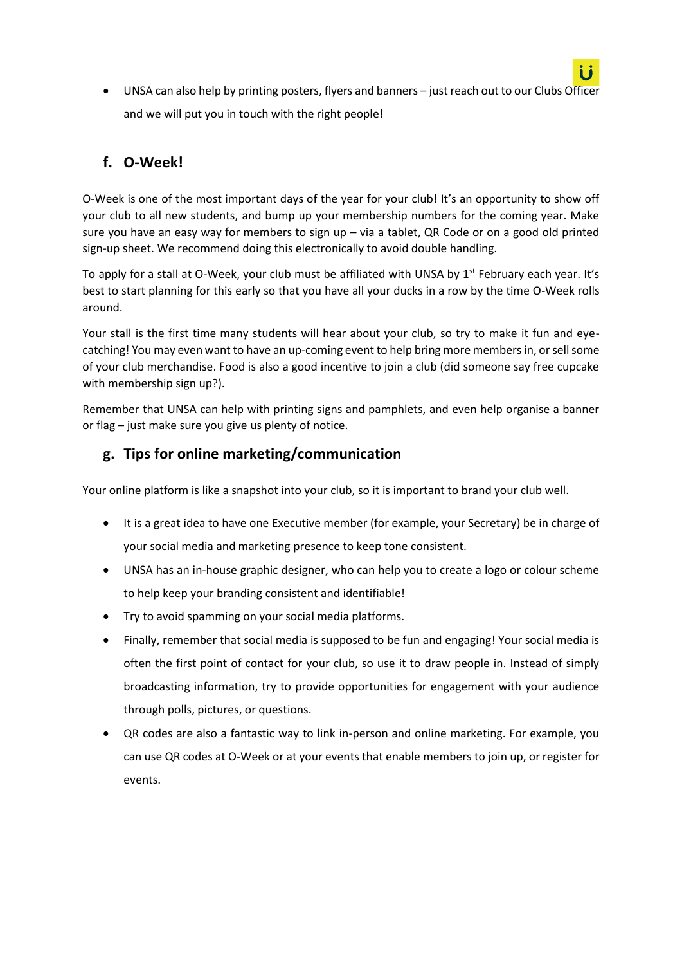UNSA can also help by printing posters, flyers and banners – just reach out to our Clubs Officer and we will put you in touch with the right people!

# **f. O-Week!**

O-Week is one of the most important days of the year for your club! It's an opportunity to show off your club to all new students, and bump up your membership numbers for the coming year. Make sure you have an easy way for members to sign up – via a tablet, QR Code or on a good old printed sign-up sheet. We recommend doing this electronically to avoid double handling.

To apply for a stall at O-Week, your club must be affiliated with UNSA by  $1<sup>st</sup>$  February each year. It's best to start planning for this early so that you have all your ducks in a row by the time O-Week rolls around.

Your stall is the first time many students will hear about your club, so try to make it fun and eyecatching! You may even want to have an up-coming event to help bring more members in, or sell some of your club merchandise. Food is also a good incentive to join a club (did someone say free cupcake with membership sign up?).

Remember that UNSA can help with printing signs and pamphlets, and even help organise a banner or flag – just make sure you give us plenty of notice.

# **g. Tips for online marketing/communication**

Your online platform is like a snapshot into your club, so it is important to brand your club well.

- It is a great idea to have one Executive member (for example, your Secretary) be in charge of your social media and marketing presence to keep tone consistent.
- UNSA has an in-house graphic designer, who can help you to create a logo or colour scheme to help keep your branding consistent and identifiable!
- Try to avoid spamming on your social media platforms.
- Finally, remember that social media is supposed to be fun and engaging! Your social media is often the first point of contact for your club, so use it to draw people in. Instead of simply broadcasting information, try to provide opportunities for engagement with your audience through polls, pictures, or questions.
- QR codes are also a fantastic way to link in-person and online marketing. For example, you can use QR codes at O-Week or at your events that enable members to join up, or register for events.